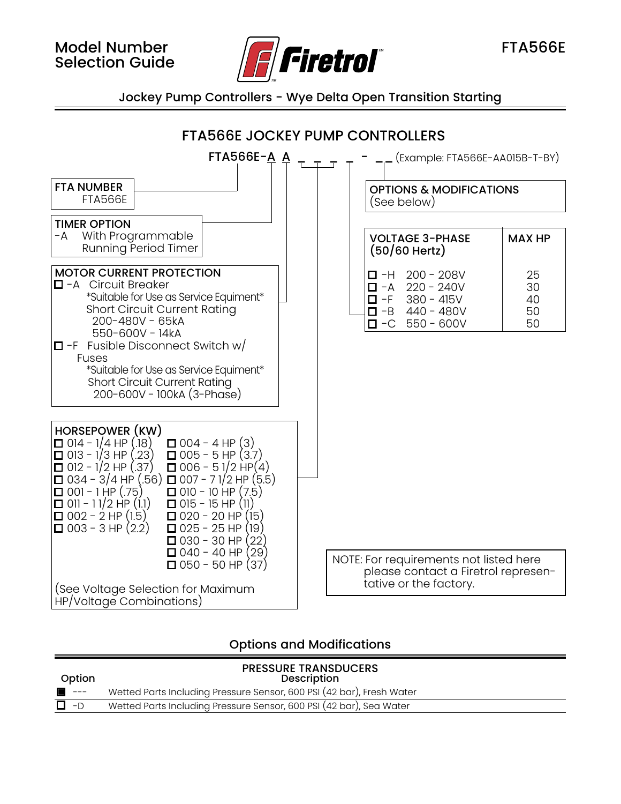

Jockey Pump Controllers - Wye Delta Open Transition Starting



## Options and Modifications

| Option | <b>PRESSURE TRANSDUCERS</b><br>Description                            |
|--------|-----------------------------------------------------------------------|
| $---$  | Wetted Parts Including Pressure Sensor, 600 PSI (42 bar), Fresh Water |
| -D     | Wetted Parts Including Pressure Sensor, 600 PSI (42 bar), Sea Water   |